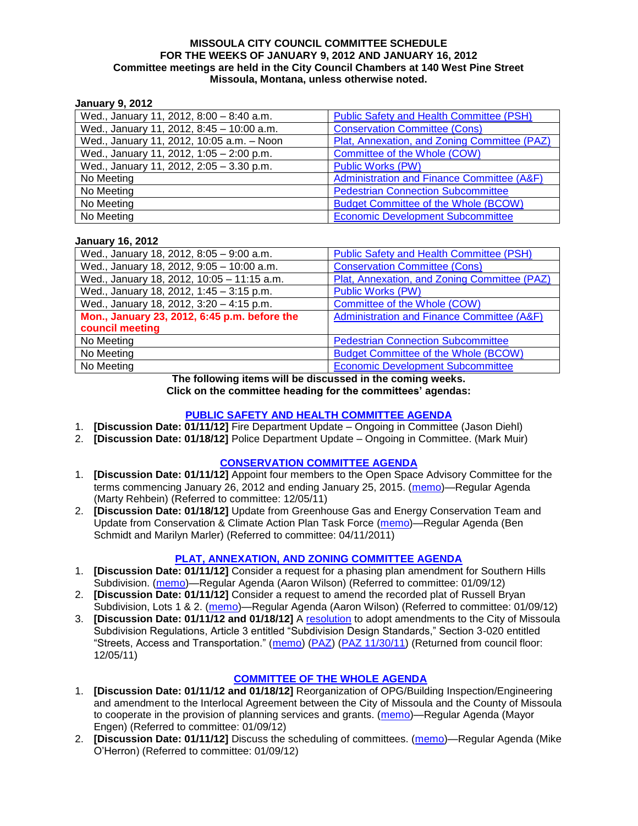#### **MISSOULA CITY COUNCIL COMMITTEE SCHEDULE FOR THE WEEKS OF JANUARY 9, 2012 AND JANUARY 16, 2012 Committee meetings are held in the City Council Chambers at 140 West Pine Street Missoula, Montana, unless otherwise noted.**

### **January 9, 2012**

| Wed., January 11, 2012, 8:00 - 8:40 a.m.  | Public Safety and Health Committee (PSH)     |
|-------------------------------------------|----------------------------------------------|
| Wed., January 11, 2012, 8:45 - 10:00 a.m. | <b>Conservation Committee (Cons)</b>         |
| Wed., January 11, 2012, 10:05 a.m. - Noon | Plat, Annexation, and Zoning Committee (PAZ) |
| Wed., January 11, 2012, 1:05 - 2:00 p.m.  | Committee of the Whole (COW)                 |
| Wed., January 11, 2012, 2:05 - 3.30 p.m.  | <b>Public Works (PW)</b>                     |
| No Meeting                                | Administration and Finance Committee (A&F)   |
| No Meeting                                | <b>Pedestrian Connection Subcommittee</b>    |
| No Meeting                                | <b>Budget Committee of the Whole (BCOW)</b>  |
| No Meeting                                | <b>Economic Development Subcommittee</b>     |

#### **January 16, 2012**

| Wed., January 18, 2012, 8:05 - 9:00 a.m.     | <b>Public Safety and Health Committee (PSH)</b> |
|----------------------------------------------|-------------------------------------------------|
| Wed., January 18, 2012, 9:05 - 10:00 a.m.    | <b>Conservation Committee (Cons)</b>            |
| Wed., January 18, 2012, 10:05 - 11:15 a.m.   | Plat, Annexation, and Zoning Committee (PAZ)    |
| Wed., January 18, 2012, 1:45 - 3:15 p.m.     | <b>Public Works (PW)</b>                        |
| Wed., January 18, 2012, 3:20 - 4:15 p.m.     | Committee of the Whole (COW)                    |
| Mon., January 23, 2012, 6:45 p.m. before the | Administration and Finance Committee (A&F)      |
| council meeting                              |                                                 |
| No Meeting                                   | <b>Pedestrian Connection Subcommittee</b>       |
| No Meeting                                   | <b>Budget Committee of the Whole (BCOW)</b>     |
| No Meeting                                   | <b>Economic Development Subcommittee</b>        |

#### **The following items will be discussed in the coming weeks. Click on the committee heading for the committees' agendas:**

### **[PUBLIC SAFETY AND HEALTH COMMITTEE AGENDA](http://www.ci.missoula.mt.us/DocumentCenterii.aspx?FID=836)**

- 1. **[Discussion Date: 01/11/12]** Fire Department Update Ongoing in Committee (Jason Diehl)
- 2. **[Discussion Date: 01/18/12]** Police Department Update Ongoing in Committee. (Mark Muir)

#### **[CONSERVATION COMMITTEE](http://www.ci.missoula.mt.us/DocumentCenterii.aspx?FID=832) AGENDA**

- 1. **[Discussion Date: 01/11/12]** Appoint four members to the Open Space Advisory Committee for the terms commencing January 26, 2012 and ending January 25, 2015. [\(memo\)](http://www.ci.missoula.mt.us/DocumentView.aspx?DID=7747)—Regular Agenda (Marty Rehbein) (Referred to committee: 12/05/11)
- 2. **[Discussion Date: 01/18/12]** Update from Greenhouse Gas and Energy Conservation Team and Update from Conservation & Climate Action Plan Task Force [\(memo\)](http://www.ci.missoula.mt.us/DocumentView.aspx?DID=7927)—Regular Agenda (Ben Schmidt and Marilyn Marler) (Referred to committee: 04/11/2011)

# **[PLAT, ANNEXATION, AND ZONING COMMITTEE AGENDA](http://www.ci.missoula.mt.us/DocumentCenterii.aspx?FID=831)**

- 1. **[Discussion Date: 01/11/12]** Consider a request for a phasing plan amendment for Southern Hills Subdivision. [\(memo\)](http://www.ci.missoula.mt.us/DocumentView.aspx?DID=7918)—Regular Agenda (Aaron Wilson) (Referred to committee: 01/09/12)
- 2. **[Discussion Date: 01/11/12]** Consider a request to amend the recorded plat of Russell Bryan Subdivision, Lots 1 & 2. [\(memo\)](http://www.ci.missoula.mt.us/DocumentView.aspx?DID=7917)—Regular Agenda (Aaron Wilson) (Referred to committee: 01/09/12)
- 3. **[Discussion Date: 01/11/12 and 01/18/12]** A [resolution](http://www.ci.missoula.mt.us/DocumentView.aspx?DID=7484) to adopt amendments to the City of Missoula Subdivision Regulations, Article 3 entitled "Subdivision Design Standards," Section 3-020 entitled ―Streets, Access and Transportation.‖ [\(memo\)](http://www.ci.missoula.mt.us/DocumentView.aspx?DID=7491) [\(PAZ\)](http://www.ci.missoula.mt.us/Archive.aspx?ADID=4684) [\(PAZ 11/30/11\)](http://www.ci.missoula.mt.us/Archive.aspx?ADID=4786) (Returned from council floor: 12/05/11)

# **[COMMITTEE OF THE WHOLE AGENDA](http://www.ci.missoula.mt.us/DocumentCenterii.aspx?FID=834)**

- 1. **[Discussion Date: 01/11/12 and 01/18/12]** Reorganization of OPG/Building Inspection/Engineering and amendment to the Interlocal Agreement between the City of Missoula and the County of Missoula to cooperate in the provision of planning services and grants. [\(memo\)](http://www.ci.missoula.mt.us/DocumentView.aspx?DID=7919)—Regular Agenda (Mayor Engen) (Referred to committee: 01/09/12)
- 2. **[Discussion Date: 01/11/12]** Discuss the scheduling of committees. [\(memo\)](http://www.ci.missoula.mt.us/DocumentView.aspx?DID=7920)—Regular Agenda (Mike O'Herron) (Referred to committee: 01/09/12)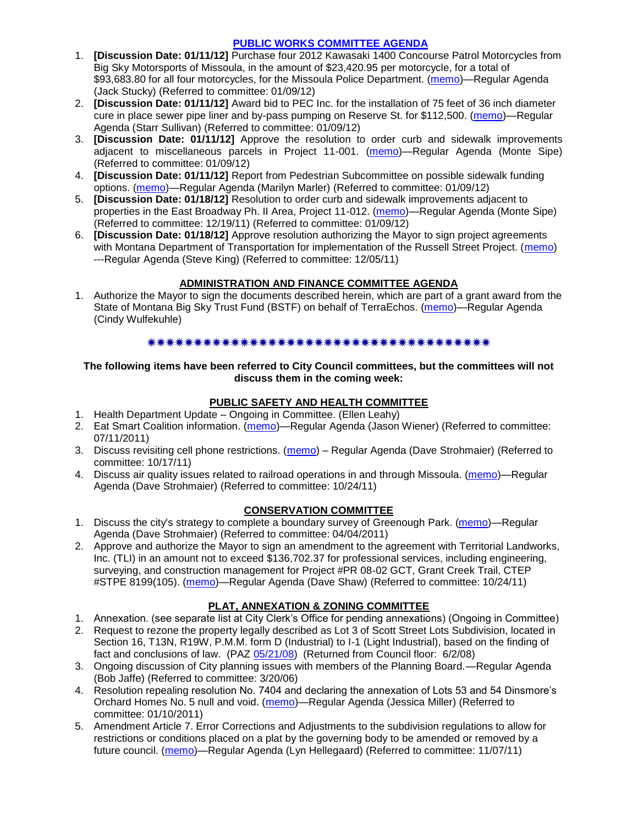## **[PUBLIC WORKS COMMITTEE](http://www.ci.missoula.mt.us/DocumentCenterii.aspx?FID=833) AGENDA**

- 1. **[Discussion Date: 01/11/12]** Purchase four 2012 Kawasaki 1400 Concourse Patrol Motorcycles from Big Sky Motorsports of Missoula, in the amount of \$23,420.95 per motorcycle, for a total of \$93,683.80 for all four motorcycles, for the Missoula Police Department. [\(memo\)](http://www.ci.missoula.mt.us/DocumentView.aspx?DID=7923)—Regular Agenda (Jack Stucky) (Referred to committee: 01/09/12)
- 2. **[Discussion Date: 01/11/12]** Award bid to PEC Inc. for the installation of 75 feet of 36 inch diameter cure in place sewer pipe liner and by-pass pumping on Reserve St. for \$112,500. [\(memo\)](http://www.ci.missoula.mt.us/DocumentView.aspx?DID=7924)—Regular Agenda (Starr Sullivan) (Referred to committee: 01/09/12)
- 3. **[Discussion Date: 01/11/12]** Approve the resolution to order curb and sidewalk improvements adjacent to miscellaneous parcels in Project 11-001. [\(memo\)](http://www.ci.missoula.mt.us/DocumentView.aspx?DID=7921)—Regular Agenda (Monte Sipe) (Referred to committee: 01/09/12)
- 4. **[Discussion Date: 01/11/12]** Report from Pedestrian Subcommittee on possible sidewalk funding options. [\(memo\)](http://www.ci.missoula.mt.us/DocumentView.aspx?DID=7922)—Regular Agenda (Marilyn Marler) (Referred to committee: 01/09/12)
- 5. **[Discussion Date: 01/18/12]** Resolution to order curb and sidewalk improvements adjacent to properties in the East Broadway Ph. II Area, Project 11-012. [\(memo\)](http://www.ci.missoula.mt.us/DocumentView.aspx?DID=7864)—Regular Agenda (Monte Sipe) (Referred to committee: 12/19/11) (Referred to committee: 01/09/12)
- 6. **[Discussion Date: 01/18/12]** Approve resolution authorizing the Mayor to sign project agreements with Montana Department of Transportation for implementation of the Russell Street Project. [\(memo\)](http://www.ci.missoula.mt.us/DocumentView.aspx?DID=7784) ---Regular Agenda (Steve King) (Referred to committee: 12/05/11)

# **ADMINISTRATION AND FINANCE COMMITTEE AGENDA**

1. Authorize the Mayor to sign the documents described herein, which are part of a grant award from the State of Montana Big Sky Trust Fund (BSTF) on behalf of TerraEchos. [\(memo\)](http://www.ci.missoula.mt.us/DocumentView.aspx?DID=7991)—Regular Agenda (Cindy Wulfekuhle)

### \*\*\*\*\*\*\*\*\*\*\*\*\*\*\*\*\*\*\*\*\*\*\*\*\*\*\*\*\*\*\*\*\*\*\*\*\*

#### **The following items have been referred to City Council committees, but the committees will not discuss them in the coming week:**

# **PUBLIC SAFETY AND HEALTH COMMITTEE**

- 1. Health Department Update Ongoing in Committee. (Ellen Leahy)
- 2. Eat Smart Coalition information. [\(memo\)](http://www.ci.missoula.mt.us/DocumentView.aspx?DID=6776)—Regular Agenda (Jason Wiener) (Referred to committee: 07/11/2011)
- 3. Discuss revisiting cell phone restrictions. [\(memo\)](http://www.ci.missoula.mt.us/DocumentView.aspx?DID=7420) Regular Agenda (Dave Strohmaier) (Referred to committee: 10/17/11)
- 4. Discuss air quality issues related to railroad operations in and through Missoula. [\(memo\)](http://www.ci.missoula.mt.us/DocumentView.aspx?DID=7495)—Regular Agenda (Dave Strohmaier) (Referred to committee: 10/24/11)

# **CONSERVATION COMMITTEE**

- 1. Discuss the city's strategy to complete a boundary survey of Greenough Park. [\(memo\)](http://www.ci.missoula.mt.us/DocumentView.aspx?DID=5875)—Regular Agenda (Dave Strohmaier) (Referred to committee: 04/04/2011)
- 2. Approve and authorize the Mayor to sign an amendment to the agreement with Territorial Landworks, Inc. (TLI) in an amount not to exceed \$136,702.37 for professional services, including engineering, surveying, and construction management for Project #PR 08-02 GCT, Grant Creek Trail, CTEP #STPE 8199(105). [\(memo\)](http://www.ci.missoula.mt.us/DocumentView.aspx?DID=7494)—Regular Agenda (Dave Shaw) (Referred to committee: 10/24/11)

# **PLAT, ANNEXATION & ZONING COMMITTEE**

- 1. Annexation. (see separate list at City Clerk's Office for pending annexations) (Ongoing in Committee)
- 2. Request to rezone the property legally described as Lot 3 of Scott Street Lots Subdivision, located in Section 16, T13N, R19W, P.M.M. form D (Industrial) to I-1 (Light Industrial), based on the finding of fact and conclusions of law. (PAZ [05/21/08\)](ftp://ftp.ci.missoula.mt.us/Packets/Council/2008/2008-06-02/080521paz.pdf) (Returned from Council floor: 6/2/08)
- 3. Ongoing discussion of City planning issues with members of the Planning Board.—Regular Agenda (Bob Jaffe) (Referred to committee: 3/20/06)
- 4. Resolution repealing resolution No. 7404 and declaring the annexation of Lots 53 and 54 Dinsmore's Orchard Homes No. 5 null and void. [\(memo\)](http://www.ci.missoula.mt.us/DocumentView.aspx?DID=5349)—Regular Agenda (Jessica Miller) (Referred to committee: 01/10/2011)
- 5. Amendment Article 7. Error Corrections and Adjustments to the subdivision regulations to allow for restrictions or conditions placed on a plat by the governing body to be amended or removed by a future council. [\(memo\)](http://www.ci.missoula.mt.us/DocumentView.aspx?DID=7568)—Regular Agenda (Lyn Hellegaard) (Referred to committee: 11/07/11)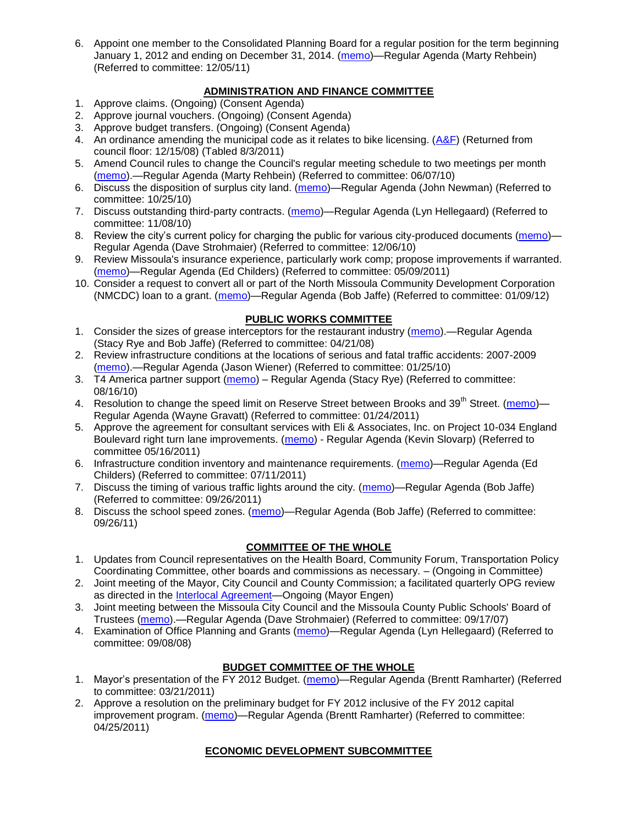6. Appoint one member to the Consolidated Planning Board for a regular position for the term beginning January 1, 2012 and ending on December 31, 2014. [\(memo\)](http://www.ci.missoula.mt.us/DocumentView.aspx?DID=7787)—Regular Agenda (Marty Rehbein) (Referred to committee: 12/05/11)

# **ADMINISTRATION AND FINANCE COMMITTEE**

- 1. Approve claims. (Ongoing) (Consent Agenda)
- 2. Approve journal vouchers. (Ongoing) (Consent Agenda)
- 3. Approve budget transfers. (Ongoing) (Consent Agenda)
- 4. An ordinance amending the municipal code as it relates to bike licensing. [\(A&F\)](ftp://ftp.ci.missoula.mt.us/Packets/Council/2008/2008-12-15/081210af.pdf) (Returned from council floor: 12/15/08) (Tabled 8/3/2011)
- 5. Amend Council rules to change the Council's regular meeting schedule to two meetings per month [\(memo\)](http://www.ci.missoula.mt.us/DocumentView.aspx?DID=4027).—Regular Agenda (Marty Rehbein) (Referred to committee: 06/07/10)
- 6. Discuss the disposition of surplus city land. [\(memo\)](http://www.ci.missoula.mt.us/DocumentView.aspx?DID=4862)—Regular Agenda (John Newman) (Referred to committee: 10/25/10)
- 7. Discuss outstanding third-party contracts. [\(memo\)](http://www.ci.missoula.mt.us/DocumentView.aspx?DID=4956)—Regular Agenda (Lyn Hellegaard) (Referred to committee: 11/08/10)
- 8. Review the city's current policy for charging the public for various city-produced documents [\(memo\)](http://www.ci.missoula.mt.us/DocumentView.aspx?DID=5143) Regular Agenda (Dave Strohmaier) (Referred to committee: 12/06/10)
- 9. Review Missoula's insurance experience, particularly work comp; propose improvements if warranted. [\(memo\)](http://www.ci.missoula.mt.us/DocumentView.aspx?DID=6381)—Regular Agenda (Ed Childers) (Referred to committee: 05/09/2011)
- 10. Consider a request to convert all or part of the North Missoula Community Development Corporation (NMCDC) loan to a grant. [\(memo\)](http://www.ci.missoula.mt.us/DocumentView.aspx?DID=7926)—Regular Agenda (Bob Jaffe) (Referred to committee: 01/09/12)

### **PUBLIC WORKS COMMITTEE**

- 1. Consider the sizes of grease interceptors for the restaurant industry [\(memo\)](ftp://ftp.ci.missoula.mt.us/Packets/Council/2008/2008-04-21/Referrals/Industrial_waste_restaurants.pdf).—Regular Agenda (Stacy Rye and Bob Jaffe) (Referred to committee: 04/21/08)
- 2. Review infrastructure conditions at the locations of serious and fatal traffic accidents: 2007-2009 [\(memo\)](http://www.ci.missoula.mt.us/DocumentView.aspx?DID=3031).—Regular Agenda (Jason Wiener) (Referred to committee: 01/25/10)
- 3. T4 America partner support [\(memo\)](http://www.ci.missoula.mt.us/DocumentView.aspx?DID=4452) Regular Agenda (Stacy Rye) (Referred to committee: 08/16/10)
- 4. Resolution to change the speed limit on Reserve Street between Brooks and 39<sup>th</sup> Street. [\(memo\)](http://www.ci.missoula.mt.us/DocumentView.aspx?DID=5418) Regular Agenda (Wayne Gravatt) (Referred to committee: 01/24/2011)
- 5. Approve the agreement for consultant services with Eli & Associates, Inc. on Project 10-034 England Boulevard right turn lane improvements. [\(memo\)](http://www.ci.missoula.mt.us/DocumentView.aspx?DID=6419) - Regular Agenda (Kevin Slovarp) (Referred to committee 05/16/2011)
- 6. Infrastructure condition inventory and maintenance requirements. [\(memo\)](http://www.ci.missoula.mt.us/DocumentView.aspx?DID=6751)—Regular Agenda (Ed Childers) (Referred to committee: 07/11/2011)
- 7. Discuss the timing of various traffic lights around the city. [\(memo\)](http://www.ci.missoula.mt.us/DocumentView.aspx?DID=7322)—Regular Agenda (Bob Jaffe) (Referred to committee: 09/26/2011)
- 8. Discuss the school speed zones. [\(memo\)](http://www.ci.missoula.mt.us/DocumentView.aspx?DID=7321)—Regular Agenda (Bob Jaffe) (Referred to committee: 09/26/11)

# **COMMITTEE OF THE WHOLE**

- 1. Updates from Council representatives on the Health Board, Community Forum, Transportation Policy Coordinating Committee, other boards and commissions as necessary. – (Ongoing in Committee)
- 2. Joint meeting of the Mayor, City Council and County Commission; a facilitated quarterly OPG review as directed in the **Interlocal Agreement**—Ongoing (Mayor Engen)
- 3. Joint meeting between the Missoula City Council and the Missoula County Public Schools' Board of Trustees [\(memo\)](ftp://ftp.ci.missoula.mt.us/Packets/Council/2007/2007-09-17/Referrals/Council_School_Board_referral.pdf).—Regular Agenda (Dave Strohmaier) (Referred to committee: 09/17/07)
- 4. Examination of Office Planning and Grants [\(memo\)](ftp://ftp.ci.missoula.mt.us/Packets/Council/2008/2008-09-08/Referrals/080825HendricksonOPGreferral.pdf)—Regular Agenda (Lyn Hellegaard) (Referred to committee: 09/08/08)

#### **BUDGET COMMITTEE OF THE WHOLE**

- 1. Mayor's presentation of the FY 2012 Budget. [\(memo\)](http://www.ci.missoula.mt.us/DocumentView.aspx?DID=5788)—Regular Agenda (Brentt Ramharter) (Referred to committee: 03/21/2011)
- 2. Approve a resolution on the preliminary budget for FY 2012 inclusive of the FY 2012 capital improvement program. [\(memo\)](http://www.ci.missoula.mt.us/DocumentView.aspx?DID=6255)—Regular Agenda (Brentt Ramharter) (Referred to committee: 04/25/2011)

# **ECONOMIC DEVELOPMENT SUBCOMMITTEE**